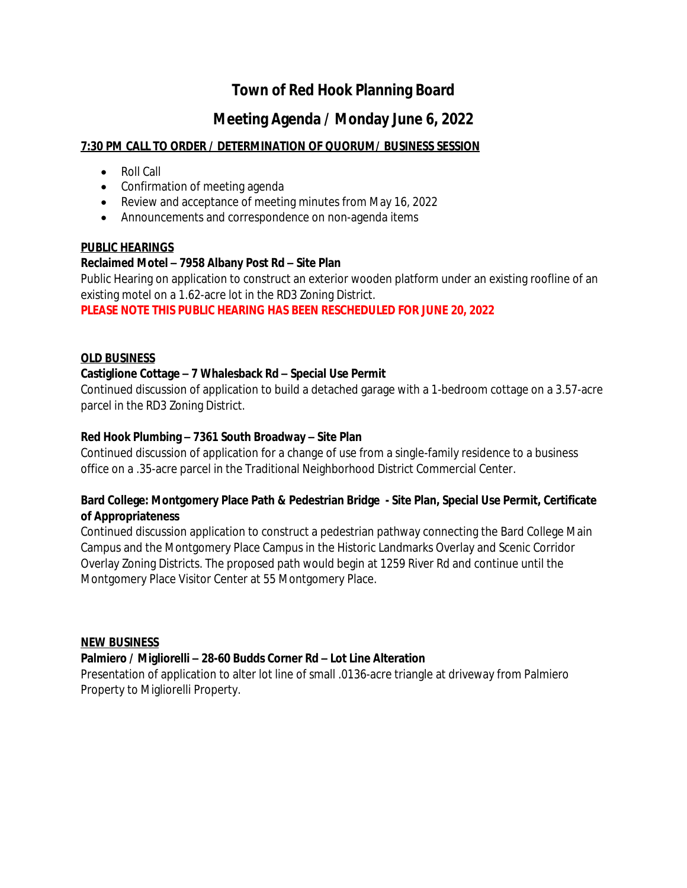# **Town of Red Hook Planning Board**

# **Meeting Agenda / Monday June 6, 2022**

## **7:30 PM CALL TO ORDER / DETERMINATION OF QUORUM/ BUSINESS SESSION**

- Roll Call
- Confirmation of meeting agenda
- Review and acceptance of meeting minutes from May 16, 2022
- Announcements and correspondence on non-agenda items

#### **PUBLIC HEARINGS**

## **Reclaimed Motel – 7958 Albany Post Rd – Site Plan**

Public Hearing on application to construct an exterior wooden platform under an existing roofline of an existing motel on a 1.62-acre lot in the RD3 Zoning District.

#### **PLEASE NOTE THIS PUBLIC HEARING HAS BEEN RESCHEDULED FOR JUNE 20, 2022**

#### **OLD BUSINESS**

## **Castiglione Cottage – 7 Whalesback Rd – Special Use Permit**

Continued discussion of application to build a detached garage with a 1-bedroom cottage on a 3.57-acre parcel in the RD3 Zoning District.

#### **Red Hook Plumbing – 7361 South Broadway – Site Plan**

Continued discussion of application for a change of use from a single-family residence to a business office on a .35-acre parcel in the Traditional Neighborhood District Commercial Center.

## **Bard College: Montgomery Place Path & Pedestrian Bridge - Site Plan, Special Use Permit, Certificate of Appropriateness**

Continued discussion application to construct a pedestrian pathway connecting the Bard College Main Campus and the Montgomery Place Campus in the Historic Landmarks Overlay and Scenic Corridor Overlay Zoning Districts. The proposed path would begin at 1259 River Rd and continue until the Montgomery Place Visitor Center at 55 Montgomery Place.

#### **NEW BUSINESS**

## **Palmiero / Migliorelli – 28-60 Budds Corner Rd – Lot Line Alteration**

Presentation of application to alter lot line of small .0136-acre triangle at driveway from Palmiero Property to Migliorelli Property.